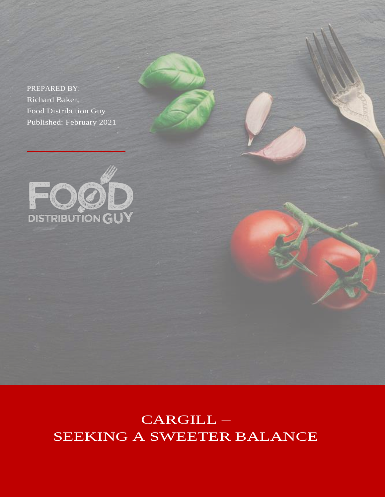PREPARED BY: Richard Baker, Food Distribution Guy Published: February 2021



CARGILL – SEEKING A SWEETER BALANCE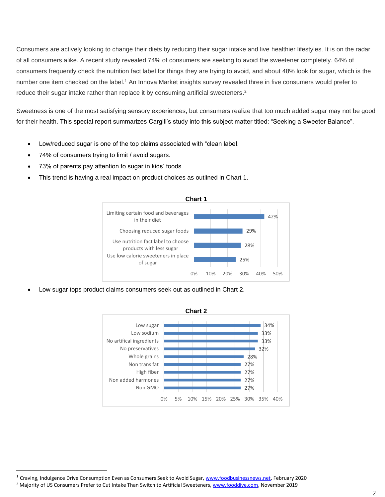Consumers are actively looking to change their diets by reducing their sugar intake and live healthier lifestyles. It is on the radar of all consumers alike. A recent study revealed 74% of consumers are seeking to avoid the sweetener completely. 64% of consumers frequently check the nutrition fact label for things they are trying to avoid, and about 48% look for sugar, which is the number one item checked on the label.<sup>1</sup> An Innova Market insights survey revealed three in five consumers would prefer to reduce their sugar intake rather than replace it by consuming artificial sweeteners. 2

Sweetness is one of the most satisfying sensory experiences, but consumers realize that too much added sugar may not be good for their health. This special report summarizes Cargill's study into this subject matter titled: "Seeking a Sweeter Balance".

- Low/reduced sugar is one of the top claims associated with "clean label.
- 74% of consumers trying to limit / avoid sugars.
- 73% of parents pay attention to sugar in kids' foods
- This trend is having a real impact on product choices as outlined in Chart 1.



Low sugar tops product claims consumers seek out as outlined in Chart 2.



<sup>&</sup>lt;sup>1</sup> Craving, Indulgence Drive Consumption Even as Consumers Seek to Avoid Sugar, [www.foodbusinessnews.net,](http://www.foodbusinessnews.net/) February 2020

<sup>&</sup>lt;sup>2</sup> Majority of US Consumers Prefer to Cut Intake Than Switch to Artificial Sweeteners[, www.fooddive.com,](http://www.fooddive.com/) November 2019